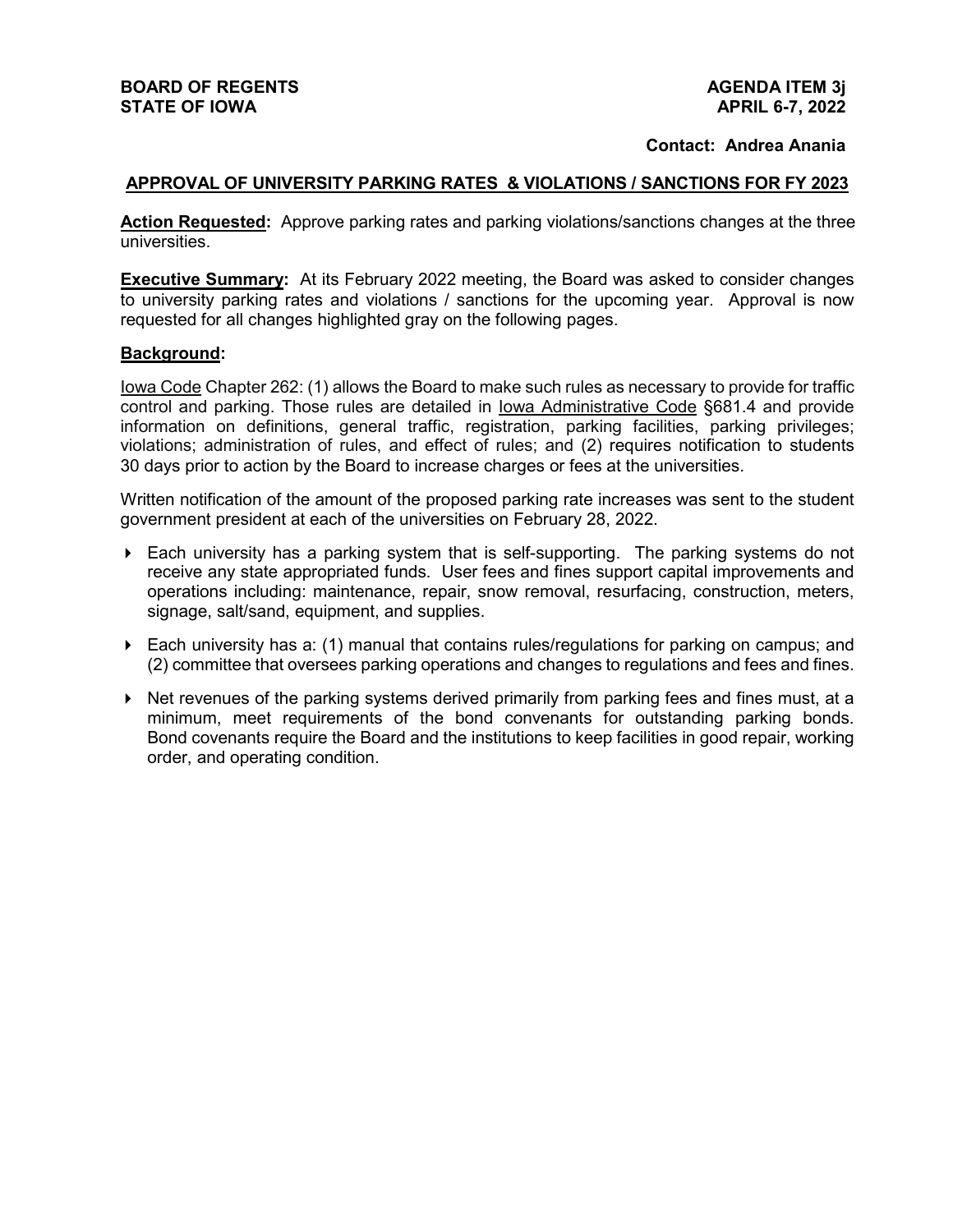#### **Contact: Andrea Anania**

#### **APPROVAL OF UNIVERSITY PARKING RATES & VIOLATIONS / SANCTIONS FOR FY 2023**

**Action Requested:** Approve parking rates and parking violations/sanctions changes at the three universities.

**Executive Summary:** At its February 2022 meeting, the Board was asked to consider changes to university parking rates and violations / sanctions for the upcoming year.Approval is now requested for all changes highlighted gray on the following pages.

#### **Background:**

Iowa Code Chapter 262: (1) allows the Board to make such rules as necessary to provide for traffic control and parking. Those rules are detailed in Iowa Administrative Code §681.4 and provide information on definitions, general traffic, registration, parking facilities, parking privileges; violations; administration of rules, and effect of rules; and (2) requires notification to students 30 days prior to action by the Board to increase charges or fees at the universities.

Written notification of the amount of the proposed parking rate increases was sent to the student government president at each of the universities on February 28, 2022.

- $\blacktriangleright$  Each university has a parking system that is self-supporting. The parking systems do not receive any state appropriated funds. User fees and fines support capital improvements and operations including: maintenance, repair, snow removal, resurfacing, construction, meters, signage, salt/sand, equipment, and supplies.
- $\triangleright$  Each university has a: (1) manual that contains rules/regulations for parking on campus; and (2) committee that oversees parking operations and changes to regulations and fees and fines.
- $\blacktriangleright$  Net revenues of the parking systems derived primarily from parking fees and fines must, at a minimum, meet requirements of the bond convenants for outstanding parking bonds. Bond covenants require the Board and the institutions to keep facilities in good repair, working order, and operating condition.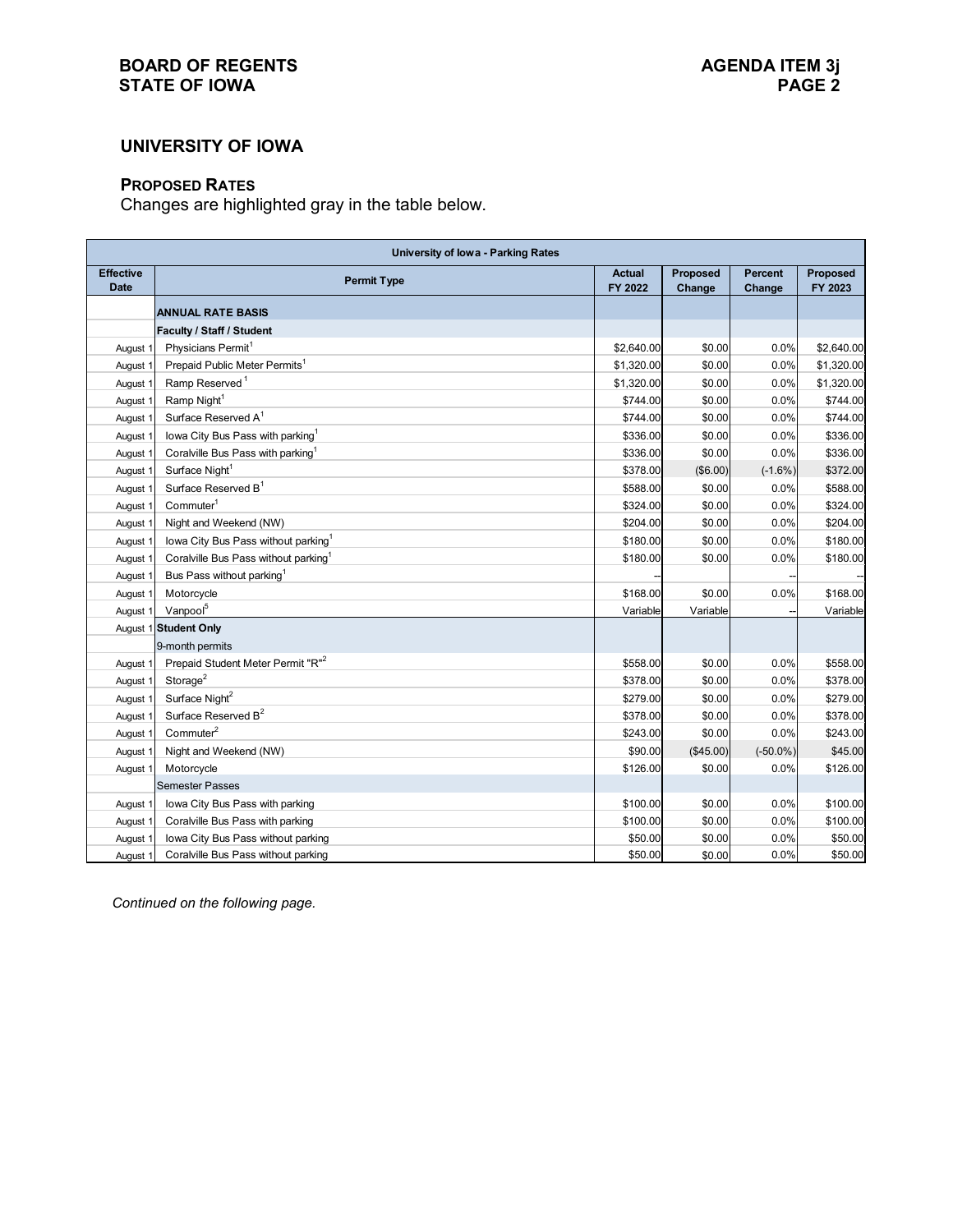## **BOARD OF REGENTS**<br> **BOARD OF REGENTS**<br> **BOARD OF IOWA**<br>
PAGE 2 **STATE OF IOWA**

### **UNIVERSITY OF IOWA**

## **PROPOSED RATES**

Changes are highlighted gray in the table below.

| <b>University of lowa - Parking Rates</b> |                                                  |                          |                    |                          |                     |  |
|-------------------------------------------|--------------------------------------------------|--------------------------|--------------------|--------------------------|---------------------|--|
| <b>Effective</b><br><b>Date</b>           | <b>Permit Type</b>                               | <b>Actual</b><br>FY 2022 | Proposed<br>Change | <b>Percent</b><br>Change | Proposed<br>FY 2023 |  |
|                                           | <b>ANNUAL RATE BASIS</b>                         |                          |                    |                          |                     |  |
|                                           | Faculty / Staff / Student                        |                          |                    |                          |                     |  |
| August 1                                  | Physicians Permit <sup>1</sup>                   | \$2,640.00               | \$0.00             | 0.0%                     | \$2,640.00          |  |
| August 1                                  | Prepaid Public Meter Permits <sup>1</sup>        | \$1,320.00               | \$0.00             | 0.0%                     | \$1,320.00          |  |
| August 1                                  | Ramp Reserved <sup>1</sup>                       | \$1,320.00               | \$0.00             | 0.0%                     | \$1,320.00          |  |
| August 1                                  | Ramp Night <sup>1</sup>                          | \$744.00                 | \$0.00             | 0.0%                     | \$744.00            |  |
| August 1                                  | Surface Reserved A <sup>1</sup>                  | \$744.00                 | \$0.00             | 0.0%                     | \$744.00            |  |
| August 1                                  | lowa City Bus Pass with parking <sup>1</sup>     | \$336.00                 | \$0.00             | 0.0%                     | \$336.00            |  |
| August 1                                  | Coralville Bus Pass with parking <sup>1</sup>    | \$336.00                 | \$0.00             | 0.0%                     | \$336.00            |  |
| August 1                                  | Surface Night <sup>1</sup>                       | \$378.00                 | (\$6.00)           | $(-1.6%)$                | \$372.00            |  |
| August 1                                  | Surface Reserved B <sup>1</sup>                  | \$588.00                 | \$0.00             | 0.0%                     | \$588.00            |  |
| August 1                                  | Comment <sup>1</sup>                             | \$324.00                 | \$0.00             | 0.0%                     | \$324.00            |  |
| August 1                                  | Night and Weekend (NW)                           | \$204.00                 | \$0.00             | 0.0%                     | \$204.00            |  |
| August 1                                  | lowa City Bus Pass without parking <sup>1</sup>  | \$180.00                 | \$0.00             | 0.0%                     | \$180.00            |  |
| August 1                                  | Coralville Bus Pass without parking <sup>1</sup> | \$180.00                 | \$0.00             | 0.0%                     | \$180.00            |  |
| August 1                                  | Bus Pass without parking <sup>1</sup>            |                          |                    |                          |                     |  |
| August 1                                  | Motorcycle                                       | \$168.00                 | \$0.00             | 0.0%                     | \$168.00            |  |
| August 1                                  | Vanpool <sup>5</sup>                             | Variable                 | Variable           |                          | Variable            |  |
|                                           | August 1 Student Only                            |                          |                    |                          |                     |  |
|                                           | 9-month permits                                  |                          |                    |                          |                     |  |
| August 1                                  | Prepaid Student Meter Permit "R" <sup>2</sup>    | \$558.00                 | \$0.00             | 0.0%                     | \$558.00            |  |
| August 1                                  | Storage $2$                                      | \$378.00                 | \$0.00             | 0.0%                     | \$378.00            |  |
| August 1                                  | Surface Night <sup>2</sup>                       | \$279.00                 | \$0.00             | 0.0%                     | \$279.00            |  |
| August 1                                  | Surface Reserved B <sup>2</sup>                  | \$378.00                 | \$0.00             | 0.0%                     | \$378.00            |  |
| August 1                                  | Commuter <sup>2</sup>                            | \$243.00                 | \$0.00             | 0.0%                     | \$243.00            |  |
| August 1                                  | Night and Weekend (NW)                           | \$90.00                  | (\$45.00)          | $(-50.0\%)$              | \$45.00             |  |
| August 1                                  | Motorcycle                                       | \$126.00                 | \$0.00             | 0.0%                     | \$126.00            |  |
|                                           | <b>Semester Passes</b>                           |                          |                    |                          |                     |  |
| August 1                                  | Iowa City Bus Pass with parking                  | \$100.00                 | \$0.00             | 0.0%                     | \$100.00            |  |
| August 1                                  | Coralville Bus Pass with parking                 | \$100.00                 | \$0.00             | 0.0%                     | \$100.00            |  |
| August 1                                  | Iowa City Bus Pass without parking               | \$50.00                  | \$0.00             | 0.0%                     | \$50.00             |  |
| August 1                                  | Coralville Bus Pass without parking              | \$50.00                  | \$0.00             | 0.0%                     | \$50.00             |  |

*Continued on the following page.*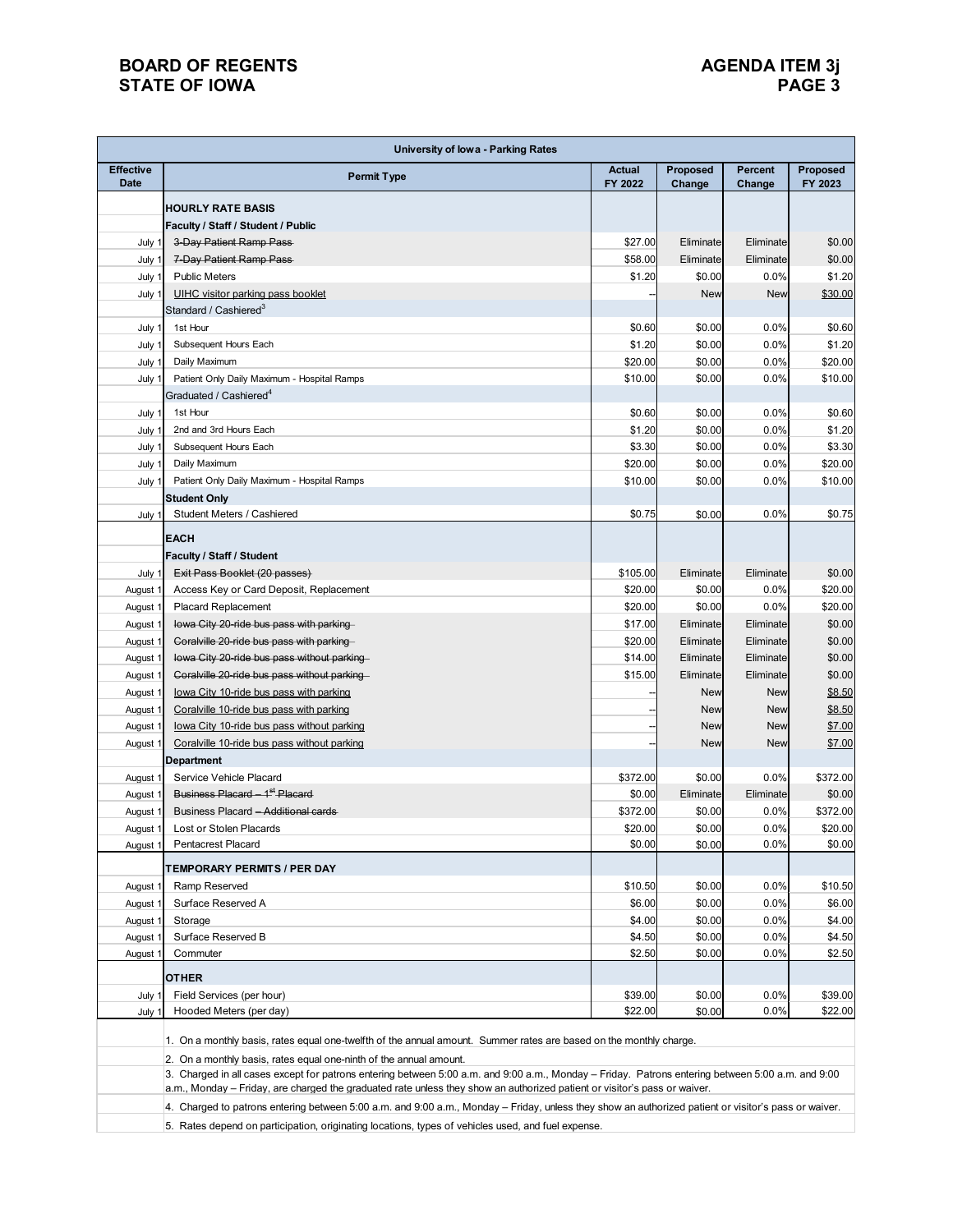## **BOARD OF REGENTS**<br> **BOARD OF REGENTS**<br> **BOARD OF IOWA**<br>
PAGE 3 **STATE OF IOWA**

|                                 | <b>University of lowa - Parking Rates</b>                                                                                                            |                          |                    |                          |                     |  |  |  |
|---------------------------------|------------------------------------------------------------------------------------------------------------------------------------------------------|--------------------------|--------------------|--------------------------|---------------------|--|--|--|
| <b>Effective</b><br><b>Date</b> | <b>Permit Type</b>                                                                                                                                   | <b>Actual</b><br>FY 2022 | Proposed<br>Change | <b>Percent</b><br>Change | Proposed<br>FY 2023 |  |  |  |
|                                 | <b>HOURLY RATE BASIS</b>                                                                                                                             |                          |                    |                          |                     |  |  |  |
|                                 | Faculty / Staff / Student / Public                                                                                                                   |                          |                    |                          |                     |  |  |  |
| July 1                          | 3-Day Patient Ramp Pass-                                                                                                                             | \$27.00                  | Eliminate          | Eliminate                | \$0.00              |  |  |  |
| July 1                          | 7-Day Patient Ramp Pass-                                                                                                                             | \$58.00                  | Eliminate          | Eliminate                | \$0.00              |  |  |  |
| July 1                          | <b>Public Meters</b>                                                                                                                                 | \$1.20                   | \$0.00             | 0.0%                     | \$1.20              |  |  |  |
| July 1                          | UIHC visitor parking pass booklet                                                                                                                    |                          | <b>New</b>         | <b>New</b>               | \$30.00             |  |  |  |
|                                 | Standard / Cashiered <sup>3</sup>                                                                                                                    |                          |                    |                          |                     |  |  |  |
| July 1                          | 1st Hour                                                                                                                                             | \$0.60                   | \$0.00             | 0.0%                     | \$0.60              |  |  |  |
| July 1                          | Subsequent Hours Each                                                                                                                                | \$1.20                   | \$0.00             | 0.0%                     | \$1.20              |  |  |  |
| July 1                          | Daily Maximum                                                                                                                                        | \$20.00                  | \$0.00             | 0.0%                     | \$20.00             |  |  |  |
| July 1                          | Patient Only Daily Maximum - Hospital Ramps                                                                                                          | \$10.00                  | \$0.00             | 0.0%                     | \$10.00             |  |  |  |
|                                 | Graduated / Cashiered <sup>4</sup>                                                                                                                   |                          |                    |                          |                     |  |  |  |
| July 1                          | 1st Hour                                                                                                                                             | \$0.60                   | \$0.00             | 0.0%                     | \$0.60              |  |  |  |
| July 1                          | 2nd and 3rd Hours Each                                                                                                                               | \$1.20                   | \$0.00             | 0.0%                     | \$1.20              |  |  |  |
| July 1                          | Subsequent Hours Each                                                                                                                                | \$3.30                   | \$0.00             | 0.0%                     | \$3.30              |  |  |  |
| July 1                          | Daily Maximum                                                                                                                                        | \$20.00                  | \$0.00             | 0.0%                     | \$20.00             |  |  |  |
| July 1                          | Patient Only Daily Maximum - Hospital Ramps                                                                                                          | \$10.00                  | \$0.00             | 0.0%                     | \$10.00             |  |  |  |
|                                 | <b>Student Only</b>                                                                                                                                  |                          |                    |                          |                     |  |  |  |
| July 1                          | Student Meters / Cashiered                                                                                                                           | \$0.75                   | \$0.00             | 0.0%                     | \$0.75              |  |  |  |
|                                 | <b>EACH</b>                                                                                                                                          |                          |                    |                          |                     |  |  |  |
|                                 | Faculty / Staff / Student                                                                                                                            |                          |                    |                          |                     |  |  |  |
| July 1                          | Exit Pass Booklet (20 passes)                                                                                                                        | \$105.00                 | Eliminate          | Eliminate                | \$0.00              |  |  |  |
| August 1                        | Access Key or Card Deposit, Replacement                                                                                                              | \$20.00                  | \$0.00             | 0.0%                     | \$20.00             |  |  |  |
| August 1                        | <b>Placard Replacement</b>                                                                                                                           | \$20.00                  | \$0.00             | 0.0%                     | \$20.00             |  |  |  |
| August 1                        | lowa City 20-ride bus pass with parking-                                                                                                             | \$17.00                  | Eliminate          | Eliminate                | \$0.00              |  |  |  |
| August 1                        | Coralville 20-ride bus pass with parking-                                                                                                            | \$20.00                  | Eliminate          | Eliminate                | \$0.00              |  |  |  |
| August 1                        | lowa City 20-ride bus pass without parking-                                                                                                          | \$14.00                  | Eliminate          | Eliminate                | \$0.00              |  |  |  |
| August <sup>-</sup>             | Coralville 20-ride bus pass without parking                                                                                                          | \$15.00                  | Eliminate          | Eliminate                | \$0.00              |  |  |  |
| August <sup>-</sup>             | lowa City 10-ride bus pass with parking                                                                                                              |                          | <b>New</b>         | <b>New</b>               | \$8.50              |  |  |  |
| August 1                        | Coralville 10-ride bus pass with parking                                                                                                             |                          | <b>New</b>         | <b>New</b>               | \$8.50              |  |  |  |
| August 1                        | lowa City 10-ride bus pass without parking                                                                                                           |                          | <b>New</b>         | <b>New</b>               | \$7.00              |  |  |  |
| August 1                        | Coralville 10-ride bus pass without parking                                                                                                          |                          | New                | <b>New</b>               | \$7.00              |  |  |  |
|                                 | <b>Department</b>                                                                                                                                    |                          |                    |                          |                     |  |  |  |
| August 1                        | Service Vehicle Placard                                                                                                                              | \$372.00                 | \$0.00             | 0.0%                     | \$372.00            |  |  |  |
| August 1                        | Business Placard - 1 <sup>st</sup> Placard                                                                                                           | \$0.00                   | Eliminate          | Eliminate                | \$0.00              |  |  |  |
| August 1                        | Business Placard - Additional cards                                                                                                                  | \$372.00                 | \$0.00             | 0.0%                     | \$372.00            |  |  |  |
| August 1                        | Lost or Stolen Placards                                                                                                                              | \$20.00                  | \$0.00             | 0.0%                     | \$20.00             |  |  |  |
| August 1                        | <b>Pentacrest Placard</b>                                                                                                                            | \$0.00                   | \$0.00             | 0.0%                     | \$0.00              |  |  |  |
|                                 | <b>TEMPORARY PERMITS / PER DAY</b>                                                                                                                   |                          |                    |                          |                     |  |  |  |
| August <sup>-</sup>             | Ramp Reserved                                                                                                                                        | \$10.50                  | \$0.00             | 0.0%                     | \$10.50             |  |  |  |
| August 1                        | Surface Reserved A                                                                                                                                   | \$6.00                   | \$0.00             | 0.0%                     | \$6.00              |  |  |  |
| August 1                        | Storage                                                                                                                                              | \$4.00                   | \$0.00             | 0.0%                     | \$4.00              |  |  |  |
| August 1                        | Surface Reserved B                                                                                                                                   | \$4.50                   | \$0.00             | 0.0%                     | \$4.50              |  |  |  |
| August <sup>-</sup>             | Commuter                                                                                                                                             | \$2.50                   | \$0.00             | 0.0%                     | \$2.50              |  |  |  |
|                                 | OTHER                                                                                                                                                |                          |                    |                          |                     |  |  |  |
| July 1                          | Field Services (per hour)                                                                                                                            | \$39.00                  | \$0.00             | 0.0%                     | \$39.00             |  |  |  |
| July 1                          | Hooded Meters (per day)                                                                                                                              | \$22.00                  | \$0.00             | 0.0%                     | \$22.00             |  |  |  |
|                                 |                                                                                                                                                      |                          |                    |                          |                     |  |  |  |
|                                 | 1. On a monthly basis, rates equal one-twelfth of the annual amount. Summer rates are based on the monthly charge.                                   |                          |                    |                          |                     |  |  |  |
|                                 | 2. On a monthly basis, rates equal one-ninth of the annual amount.                                                                                   |                          |                    |                          |                     |  |  |  |
|                                 | 3. Charged in all cases except for patrons entering between 5:00 a.m. and 9:00 a.m., Monday - Friday. Patrons entering between 5:00 a.m. and 9:00    |                          |                    |                          |                     |  |  |  |
|                                 | a.m., Monday – Friday, are charged the graduated rate unless they show an authorized patient or visitor's pass or waiver.                            |                          |                    |                          |                     |  |  |  |
|                                 | 4. Charged to patrons entering between 5:00 a.m. and 9:00 a.m., Monday - Friday, unless they show an authorized patient or visitor's pass or waiver. |                          |                    |                          |                     |  |  |  |
|                                 | 5. Rates depend on participation, originating locations, types of vehicles used, and fuel expense.                                                   |                          |                    |                          |                     |  |  |  |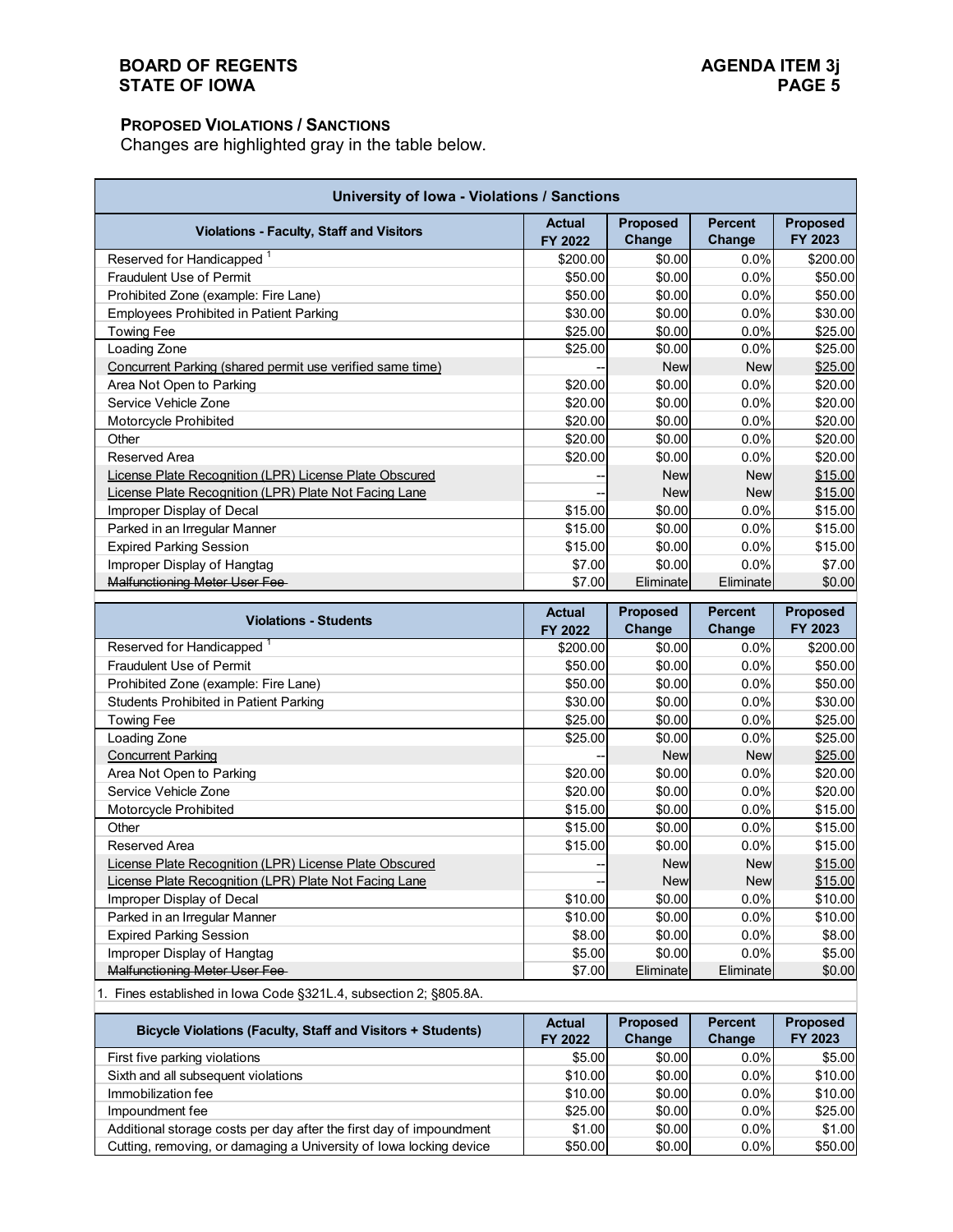### **PROPOSED VIOLATIONS / SANCTIONS**

Changes are highlighted gray in the table below.

| University of Iowa - Violations / Sanctions               |                          |                           |                          |                     |  |  |  |
|-----------------------------------------------------------|--------------------------|---------------------------|--------------------------|---------------------|--|--|--|
| <b>Violations - Faculty, Staff and Visitors</b>           | <b>Actual</b><br>FY 2022 | <b>Proposed</b><br>Change | <b>Percent</b><br>Change | Proposed<br>FY 2023 |  |  |  |
| Reserved for Handicapped <sup>1</sup>                     | \$200.00                 | \$0.00                    | 0.0%                     | \$200.00            |  |  |  |
| <b>Fraudulent Use of Permit</b>                           | \$50.00                  | \$0.00                    | 0.0%                     | \$50.00             |  |  |  |
| Prohibited Zone (example: Fire Lane)                      | \$50.00                  | \$0.00                    | $0.0\%$                  | \$50.00             |  |  |  |
| <b>Employees Prohibited in Patient Parking</b>            | \$30.00                  | \$0.00                    | 0.0%                     | \$30.00             |  |  |  |
| <b>Towing Fee</b>                                         | \$25.00                  | \$0.00                    | 0.0%                     | \$25.00             |  |  |  |
| Loading Zone                                              | \$25.00                  | \$0.00                    | 0.0%                     | \$25.00             |  |  |  |
| Concurrent Parking (shared permit use verified same time) |                          | <b>New</b>                | <b>New</b>               | \$25.00             |  |  |  |
| Area Not Open to Parking                                  | \$20.00                  | \$0.00                    | 0.0%                     | \$20.00             |  |  |  |
| Service Vehicle Zone                                      | \$20.00                  | \$0.00                    | 0.0%                     | \$20.00             |  |  |  |
| Motorcycle Prohibited                                     | \$20.00                  | \$0.00                    | 0.0%                     | \$20.00             |  |  |  |
| Other                                                     | \$20.00                  | \$0.00                    | 0.0%                     | \$20.00             |  |  |  |
| Reserved Area                                             | \$20.00                  | \$0.00                    | 0.0%                     | \$20.00             |  |  |  |
| License Plate Recognition (LPR) License Plate Obscured    |                          | <b>New</b>                | <b>New</b>               | \$15.00             |  |  |  |
| License Plate Recognition (LPR) Plate Not Facing Lane     |                          | <b>New</b>                | <b>New</b>               | \$15.00             |  |  |  |
| Improper Display of Decal                                 | \$15.00                  | \$0.00                    | 0.0%                     | \$15.00             |  |  |  |
| Parked in an Irregular Manner                             | \$15.00                  | \$0.00                    | 0.0%                     | \$15.00             |  |  |  |
| <b>Expired Parking Session</b>                            | \$15.00                  | \$0.00                    | 0.0%                     | \$15.00             |  |  |  |
| Improper Display of Hangtag                               | \$7.00                   | \$0.00                    | 0.0%                     | \$7.00              |  |  |  |
| <b>Malfunctioning Meter User Fee-</b>                     | \$7.00                   | Eliminate                 | Eliminate                | \$0.00              |  |  |  |

| <b>Violations - Students</b>                           | <b>Actual</b><br>FY 2022 | <b>Proposed</b><br>Change | <b>Percent</b><br>Change | <b>Proposed</b><br>FY 2023 |
|--------------------------------------------------------|--------------------------|---------------------------|--------------------------|----------------------------|
| Reserved for Handicapped                               | \$200.00                 | \$0.00                    | 0.0%                     | \$200.00                   |
| <b>Fraudulent Use of Permit</b>                        | \$50.00                  | \$0.00                    | $0.0\%$                  | \$50.00                    |
| Prohibited Zone (example: Fire Lane)                   | \$50.00                  | \$0.00                    | 0.0%                     | \$50.00                    |
| <b>Students Prohibited in Patient Parking</b>          | \$30.00                  | \$0.00                    | 0.0%                     | \$30.00                    |
| Towing Fee                                             | \$25.00                  | \$0.00                    | 0.0%                     | \$25.00                    |
| Loading Zone                                           | \$25.00                  | \$0.00                    | 0.0%                     | \$25.00                    |
| <b>Concurrent Parking</b>                              |                          | <b>New</b>                | <b>New</b>               | \$25.00                    |
| Area Not Open to Parking                               | \$20.00                  | \$0.00                    | 0.0%                     | \$20.00                    |
| Service Vehicle Zone                                   | \$20.00                  | \$0.00                    | 0.0%                     | \$20.00                    |
| Motorcycle Prohibited                                  | \$15.00                  | \$0.00                    | $0.0\%$                  | \$15.00                    |
| Other                                                  | \$15.00                  | \$0.00                    | 0.0%                     | \$15.00                    |
| Reserved Area                                          | \$15.00                  | \$0.00                    | 0.0%                     | \$15.00                    |
| License Plate Recognition (LPR) License Plate Obscured |                          | <b>New</b>                | <b>New</b>               | \$15.00                    |
| License Plate Recognition (LPR) Plate Not Facing Lane  |                          | <b>New</b>                | <b>New</b>               | \$15.00                    |
| Improper Display of Decal                              | \$10.00                  | \$0.00                    | $0.0\%$                  | \$10.00                    |
| Parked in an Irregular Manner                          | \$10.00                  | \$0.00                    | 0.0%                     | \$10.00                    |
| <b>Expired Parking Session</b>                         | \$8.00                   | \$0.00                    | $0.0\%$                  | \$8.00                     |
| Improper Display of Hangtag                            | \$5.00                   | \$0.00                    | 0.0%                     | \$5.00                     |
| Malfunctioning Meter User Fee-                         | \$7.00                   | Eliminate                 | Eliminate                | \$0.00                     |

1. Fines established in Iowa Code §321L.4, subsection 2; §805.8A.

| <b>Bicycle Violations (Faculty, Staff and Visitors + Students)</b>  | <b>Actual</b> | <b>Proposed</b> | <b>Percent</b> | <b>Proposed</b> |
|---------------------------------------------------------------------|---------------|-----------------|----------------|-----------------|
|                                                                     | FY 2022       | Change          | Change         | FY 2023         |
| First five parking violations                                       | \$5.00        | \$0.00          | $0.0\%$        | \$5.00          |
| Sixth and all subsequent violations                                 | \$10.00       | \$0.00          | $0.0\%$        | \$10.00         |
| Immobilization fee                                                  | \$10.00       | \$0.00          | $0.0\%$        | \$10.00         |
| Impoundment fee                                                     | \$25.00       | \$0.00          | $0.0\%$        | \$25.00         |
| Additional storage costs per day after the first day of impoundment | \$1.00        | \$0.00          | $0.0\%$        | \$1.00          |
| Cutting, removing, or damaging a University of Iowa locking device  | \$50.00       | \$0.00          | $0.0\%$        | \$50.00         |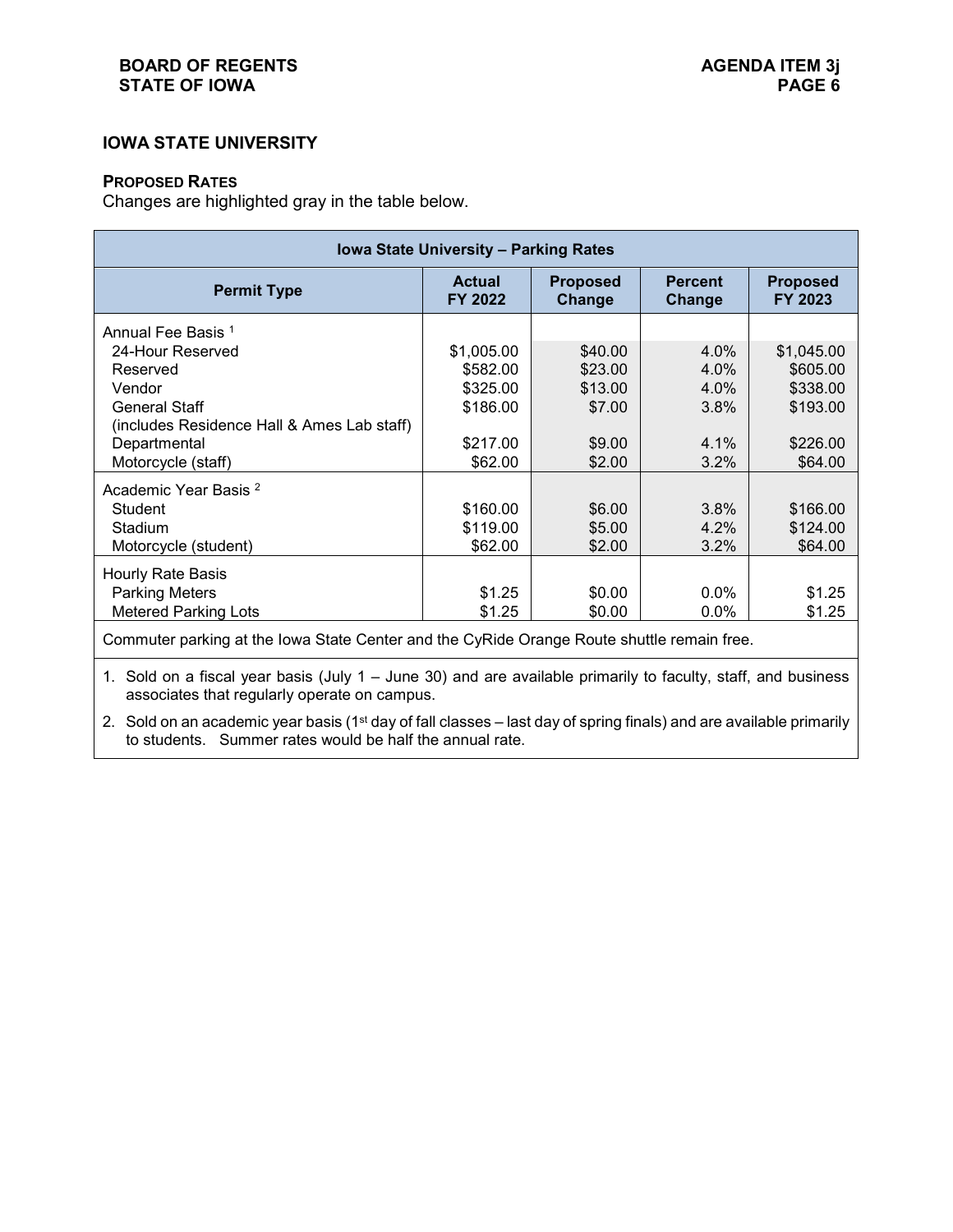## **IOWA STATE UNIVERSITY**

#### **PROPOSED RATES**

Changes are highlighted gray in the table below.

| Iowa State University - Parking Rates                                                                      |                          |                           |                          |                            |  |  |  |  |
|------------------------------------------------------------------------------------------------------------|--------------------------|---------------------------|--------------------------|----------------------------|--|--|--|--|
| <b>Permit Type</b>                                                                                         | <b>Actual</b><br>FY 2022 | <b>Proposed</b><br>Change | <b>Percent</b><br>Change | <b>Proposed</b><br>FY 2023 |  |  |  |  |
| Annual Fee Basis 1                                                                                         |                          |                           |                          |                            |  |  |  |  |
| 24-Hour Reserved                                                                                           | \$1,005.00               | \$40.00                   | 4.0%                     | \$1,045.00                 |  |  |  |  |
| Reserved                                                                                                   | \$582.00                 | \$23.00                   | 4.0%                     | \$605.00                   |  |  |  |  |
| Vendor                                                                                                     | \$325.00                 | \$13.00                   | 4.0%                     | \$338.00                   |  |  |  |  |
| <b>General Staff</b>                                                                                       | \$186.00                 | \$7.00                    | 3.8%                     | \$193.00                   |  |  |  |  |
| (includes Residence Hall & Ames Lab staff)                                                                 |                          |                           |                          |                            |  |  |  |  |
| Departmental                                                                                               | \$217.00                 | \$9.00                    | 4.1%                     | \$226.00                   |  |  |  |  |
| Motorcycle (staff)                                                                                         | \$62.00                  | \$2.00                    | 3.2%                     | \$64.00                    |  |  |  |  |
| Academic Year Basis <sup>2</sup>                                                                           |                          |                           |                          |                            |  |  |  |  |
| <b>Student</b>                                                                                             | \$160.00                 | \$6.00                    | 3.8%                     | \$166.00                   |  |  |  |  |
| Stadium                                                                                                    | \$119.00                 | \$5.00                    | 4.2%                     | \$124.00                   |  |  |  |  |
| Motorcycle (student)                                                                                       | \$62.00                  | \$2.00                    | 3.2%                     | \$64.00                    |  |  |  |  |
| Hourly Rate Basis                                                                                          |                          |                           |                          |                            |  |  |  |  |
| <b>Parking Meters</b>                                                                                      | \$1.25                   | \$0.00                    | $0.0\%$                  | \$1.25                     |  |  |  |  |
| <b>Metered Parking Lots</b>                                                                                | \$1.25                   | \$0.00                    | 0.0%                     | \$1.25                     |  |  |  |  |
| Commuter parking at the lowa State Center and the CyRide Orange Route shuttle remain free.                 |                          |                           |                          |                            |  |  |  |  |
| A. Ostal en a finnat troch de luis de la burge 20) end en available primerily to foodky atoff and business |                          |                           |                          |                            |  |  |  |  |

1. Sold on a fiscal year basis (July 1 – June 30) and are available primarily to faculty, staff, and business associates that regularly operate on campus.

2. Sold on an academic year basis (1<sup>st</sup> day of fall classes – last day of spring finals) and are available primarily to students. Summer rates would be half the annual rate.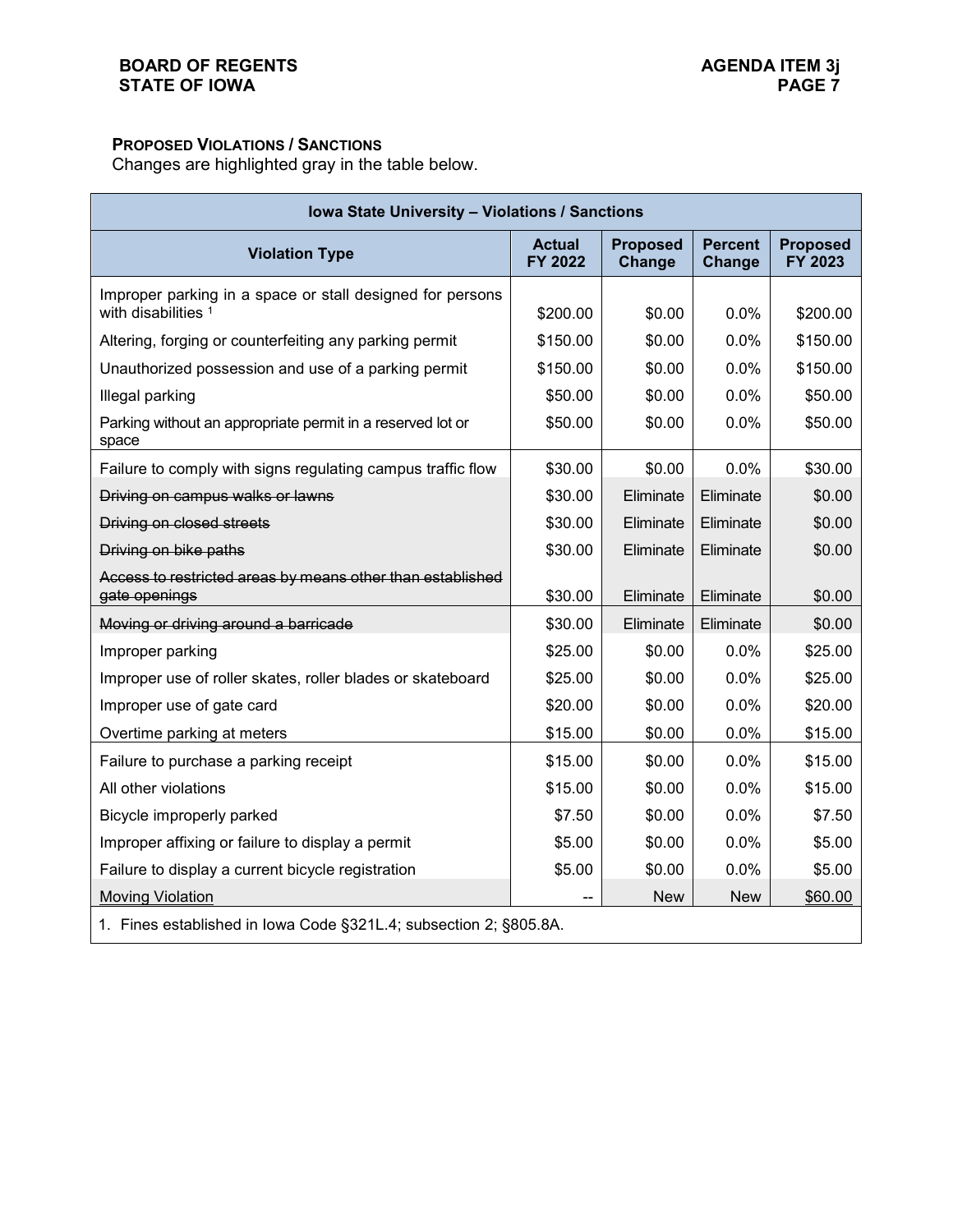# **PROPOSED VIOLATIONS / SANCTIONS**

Changes are highlighted gray in the table below.

| Iowa State University - Violations / Sanctions                                   |                          |                           |                          |                            |  |  |
|----------------------------------------------------------------------------------|--------------------------|---------------------------|--------------------------|----------------------------|--|--|
| <b>Violation Type</b>                                                            | <b>Actual</b><br>FY 2022 | <b>Proposed</b><br>Change | <b>Percent</b><br>Change | <b>Proposed</b><br>FY 2023 |  |  |
| Improper parking in a space or stall designed for persons<br>with disabilities 1 | \$200.00                 | \$0.00                    | 0.0%                     | \$200.00                   |  |  |
| Altering, forging or counterfeiting any parking permit                           | \$150.00                 | \$0.00                    | 0.0%                     | \$150.00                   |  |  |
| Unauthorized possession and use of a parking permit                              | \$150.00                 | \$0.00                    | 0.0%                     | \$150.00                   |  |  |
| Illegal parking                                                                  | \$50.00                  | \$0.00                    | 0.0%                     | \$50.00                    |  |  |
| Parking without an appropriate permit in a reserved lot or<br>space              | \$50.00                  | \$0.00                    | 0.0%                     | \$50.00                    |  |  |
| Failure to comply with signs regulating campus traffic flow                      | \$30.00                  | \$0.00                    | 0.0%                     | \$30.00                    |  |  |
| Driving on campus walks or lawns                                                 | \$30.00                  | Eliminate                 | Eliminate                | \$0.00                     |  |  |
| Driving on closed streets                                                        | \$30.00                  | Eliminate                 | Eliminate                | \$0.00                     |  |  |
| Driving on bike paths                                                            | \$30.00                  | Eliminate                 | Eliminate                | \$0.00                     |  |  |
| Access to restricted areas by means other than established<br>gate openings      | \$30.00                  | Eliminate                 | Eliminate                | \$0.00                     |  |  |
| Moving or driving around a barricade                                             | \$30.00                  | Eliminate                 | Eliminate                | \$0.00                     |  |  |
| Improper parking                                                                 | \$25.00                  | \$0.00                    | 0.0%                     | \$25.00                    |  |  |
| Improper use of roller skates, roller blades or skateboard                       | \$25.00                  | \$0.00                    | 0.0%                     | \$25.00                    |  |  |
| Improper use of gate card                                                        | \$20.00                  | \$0.00                    | 0.0%                     | \$20.00                    |  |  |
| Overtime parking at meters                                                       | \$15.00                  | \$0.00                    | 0.0%                     | \$15.00                    |  |  |
| Failure to purchase a parking receipt                                            | \$15.00                  | \$0.00                    | 0.0%                     | \$15.00                    |  |  |
| All other violations                                                             | \$15.00                  | \$0.00                    | 0.0%                     | \$15.00                    |  |  |
| Bicycle improperly parked                                                        | \$7.50                   | \$0.00                    | 0.0%                     | \$7.50                     |  |  |
| Improper affixing or failure to display a permit                                 | \$5.00                   | \$0.00                    | 0.0%                     | \$5.00                     |  |  |
| Failure to display a current bicycle registration                                | \$5.00                   | \$0.00                    | 0.0%                     | \$5.00                     |  |  |
| <b>Moving Violation</b>                                                          |                          | <b>New</b>                | <b>New</b>               | \$60.00                    |  |  |
| 1. Fines established in Iowa Code §321L.4; subsection 2; §805.8A.                |                          |                           |                          |                            |  |  |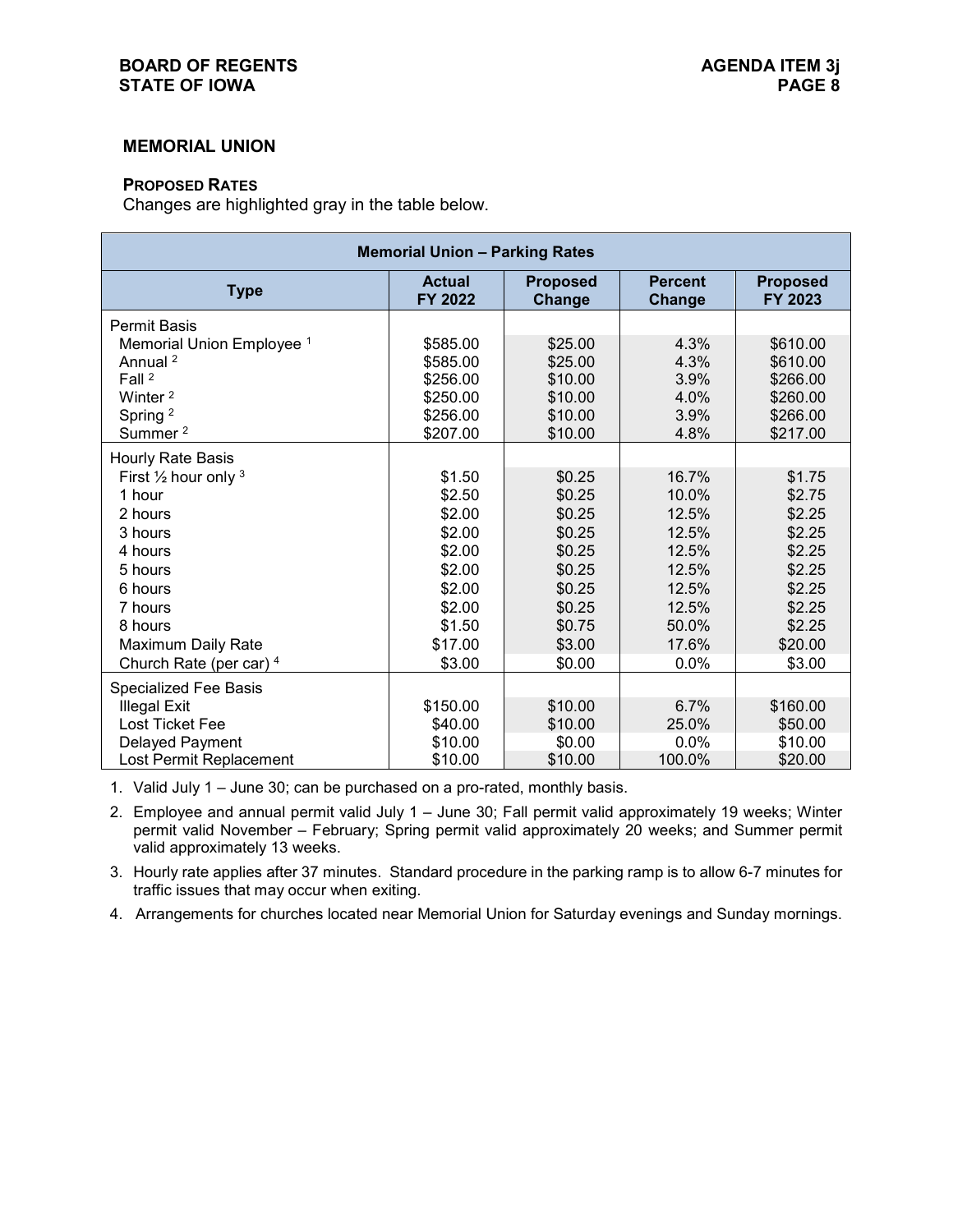#### **BOARD OF REGENTS AGENDA ITEM 3j STATE OF IOWA**

### **MEMORIAL UNION**

#### **PROPOSED RATES**

Changes are highlighted gray in the table below.

| <b>Memorial Union - Parking Rates</b> |                          |                           |                          |                            |  |  |  |  |
|---------------------------------------|--------------------------|---------------------------|--------------------------|----------------------------|--|--|--|--|
| <b>Type</b>                           | <b>Actual</b><br>FY 2022 | <b>Proposed</b><br>Change | <b>Percent</b><br>Change | <b>Proposed</b><br>FY 2023 |  |  |  |  |
| <b>Permit Basis</b>                   |                          |                           |                          |                            |  |  |  |  |
| Memorial Union Employee <sup>1</sup>  | \$585.00                 | \$25.00                   | 4.3%                     | \$610.00                   |  |  |  |  |
| Annual <sup>2</sup>                   | \$585.00                 | \$25.00                   | 4.3%                     | \$610.00                   |  |  |  |  |
| Fall <sup>2</sup>                     | \$256.00                 | \$10.00                   | 3.9%                     | \$266.00                   |  |  |  |  |
| Winter <sup>2</sup>                   | \$250.00                 | \$10.00                   | 4.0%                     | \$260.00                   |  |  |  |  |
| Spring <sup>2</sup>                   | \$256.00                 | \$10.00                   | 3.9%                     | \$266.00                   |  |  |  |  |
| Summer <sup>2</sup>                   | \$207.00                 | \$10.00                   | 4.8%                     | \$217.00                   |  |  |  |  |
| Hourly Rate Basis                     |                          |                           |                          |                            |  |  |  |  |
| First $\frac{1}{2}$ hour only $3$     | \$1.50                   | \$0.25                    | 16.7%                    | \$1.75                     |  |  |  |  |
| 1 hour                                | \$2.50                   | \$0.25                    | 10.0%                    | \$2.75                     |  |  |  |  |
| 2 hours                               | \$2.00                   | \$0.25                    | 12.5%                    | \$2.25                     |  |  |  |  |
| 3 hours                               | \$2.00                   | \$0.25                    | 12.5%                    | \$2.25                     |  |  |  |  |
| 4 hours                               | \$2.00                   | \$0.25                    | 12.5%                    | \$2.25                     |  |  |  |  |
| 5 hours                               | \$2.00                   | \$0.25                    | 12.5%                    | \$2.25                     |  |  |  |  |
| 6 hours                               | \$2.00                   | \$0.25                    | 12.5%                    | \$2.25                     |  |  |  |  |
| 7 hours                               | \$2.00                   | \$0.25                    | 12.5%                    | \$2.25                     |  |  |  |  |
| 8 hours                               | \$1.50                   | \$0.75                    | 50.0%                    | \$2.25                     |  |  |  |  |
| Maximum Daily Rate                    | \$17.00                  | \$3.00                    | 17.6%                    | \$20.00                    |  |  |  |  |
| Church Rate (per car) 4               | \$3.00                   | \$0.00                    | 0.0%                     | \$3.00                     |  |  |  |  |
| <b>Specialized Fee Basis</b>          |                          |                           |                          |                            |  |  |  |  |
| <b>Illegal Exit</b>                   | \$150.00                 | \$10.00                   | 6.7%                     | \$160.00                   |  |  |  |  |
| Lost Ticket Fee                       | \$40.00                  | \$10.00                   | 25.0%                    | \$50.00                    |  |  |  |  |
| Delayed Payment                       | \$10.00                  | \$0.00                    | 0.0%                     | \$10.00                    |  |  |  |  |
| Lost Permit Replacement               | \$10.00                  | \$10.00                   | 100.0%                   | \$20.00                    |  |  |  |  |

1. Valid July 1 – June 30; can be purchased on a pro-rated, monthly basis.

2. Employee and annual permit valid July 1 – June 30; Fall permit valid approximately 19 weeks; Winter permit valid November – February; Spring permit valid approximately 20 weeks; and Summer permit valid approximately 13 weeks.

3. Hourly rate applies after 37 minutes. Standard procedure in the parking ramp is to allow 6-7 minutes for traffic issues that may occur when exiting.

4. Arrangements for churches located near Memorial Union for Saturday evenings and Sunday mornings.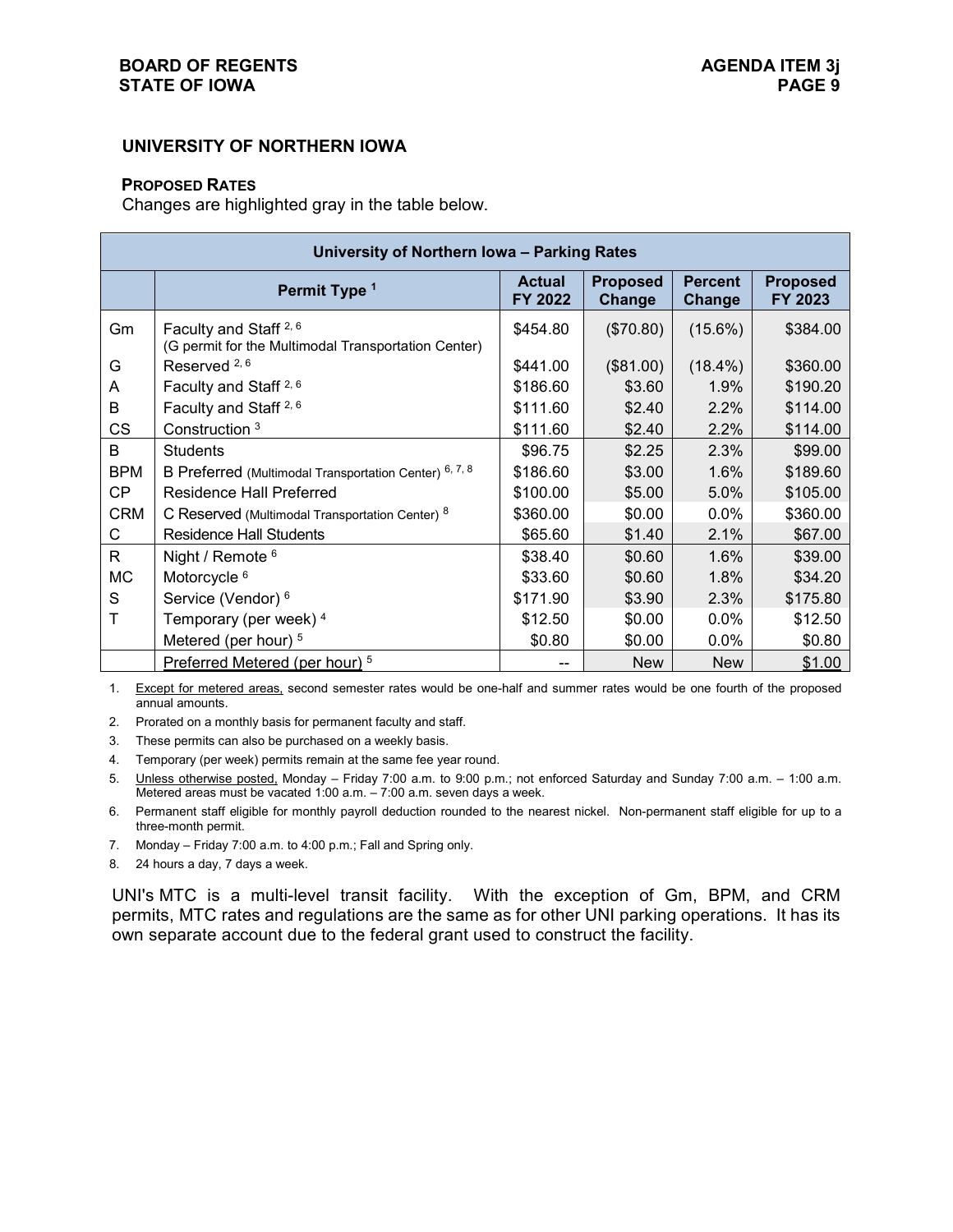## **UNIVERSITY OF NORTHERN IOWA**

#### **PROPOSED RATES**

Changes are highlighted gray in the table below.

| University of Northern Iowa - Parking Rates |                                                                                                    |          |            |            |          |  |  |  |
|---------------------------------------------|----------------------------------------------------------------------------------------------------|----------|------------|------------|----------|--|--|--|
|                                             | <b>Proposed</b><br><b>Percent</b><br><b>Actual</b><br>Permit Type 1<br>FY 2022<br>Change<br>Change |          |            |            |          |  |  |  |
| Gm                                          | Faculty and Staff <sup>2, 6</sup><br>(G permit for the Multimodal Transportation Center)           | \$454.80 | (\$70.80)  | $(15.6\%)$ | \$384.00 |  |  |  |
| G                                           | Reserved <sup>2,6</sup>                                                                            | \$441.00 | (\$81.00)  | $(18.4\%)$ | \$360.00 |  |  |  |
| A                                           | Faculty and Staff <sup>2, 6</sup>                                                                  | \$186.60 | \$3.60     | 1.9%       | \$190.20 |  |  |  |
| B                                           | Faculty and Staff <sup>2, 6</sup>                                                                  | \$111.60 | \$2.40     | 2.2%       | \$114.00 |  |  |  |
| CS                                          | Construction <sup>3</sup>                                                                          | \$111.60 | \$2.40     | 2.2%       | \$114.00 |  |  |  |
| B.                                          | <b>Students</b>                                                                                    | \$96.75  | \$2.25     | 2.3%       | \$99.00  |  |  |  |
| <b>BPM</b>                                  | B Preferred (Multimodal Transportation Center) 6, 7, 8                                             | \$186.60 | \$3.00     | 1.6%       | \$189.60 |  |  |  |
| <b>CP</b>                                   | <b>Residence Hall Preferred</b>                                                                    | \$100.00 | \$5.00     | 5.0%       | \$105.00 |  |  |  |
| <b>CRM</b>                                  | C Reserved (Multimodal Transportation Center) 8                                                    | \$360.00 | \$0.00     | $0.0\%$    | \$360.00 |  |  |  |
| С                                           | Residence Hall Students                                                                            | \$65.60  | \$1.40     | 2.1%       | \$67.00  |  |  |  |
| R.                                          | Night / Remote <sup>6</sup>                                                                        | \$38.40  | \$0.60     | 1.6%       | \$39.00  |  |  |  |
| МC                                          | Motorcycle <sup>6</sup>                                                                            | \$33.60  | \$0.60     | 1.8%       | \$34.20  |  |  |  |
| S                                           | Service (Vendor) <sup>6</sup>                                                                      | \$171.90 | \$3.90     | 2.3%       | \$175.80 |  |  |  |
|                                             | Temporary (per week) 4                                                                             | \$12.50  | \$0.00     | $0.0\%$    | \$12.50  |  |  |  |
|                                             | Metered (per hour) <sup>5</sup>                                                                    | \$0.80   | \$0.00     | $0.0\%$    | \$0.80   |  |  |  |
|                                             | Preferred Metered (per hour) <sup>5</sup>                                                          |          | <b>New</b> | <b>New</b> | \$1.00   |  |  |  |

1. Except for metered areas, second semester rates would be one-half and summer rates would be one fourth of the proposed annual amounts.

2. Prorated on a monthly basis for permanent faculty and staff.

3. These permits can also be purchased on a weekly basis.

4. Temporary (per week) permits remain at the same fee year round.

5. Unless otherwise posted, Monday – Friday 7:00 a.m. to 9:00 p.m.; not enforced Saturday and Sunday 7:00 a.m. – 1:00 a.m. Metered areas must be vacated 1:00 a.m. – 7:00 a.m. seven days a week.

6. Permanent staff eligible for monthly payroll deduction rounded to the nearest nickel. Non-permanent staff eligible for up to a three-month permit.

7. Monday – Friday 7:00 a.m. to 4:00 p.m.; Fall and Spring only.

8. 24 hours a day, 7 days a week.

UNI's MTC is a multi-level transit facility. With the exception of Gm, BPM, and CRM permits, MTC rates and regulations are the same as for other UNI parking operations. It has its own separate account due to the federal grant used to construct the facility.